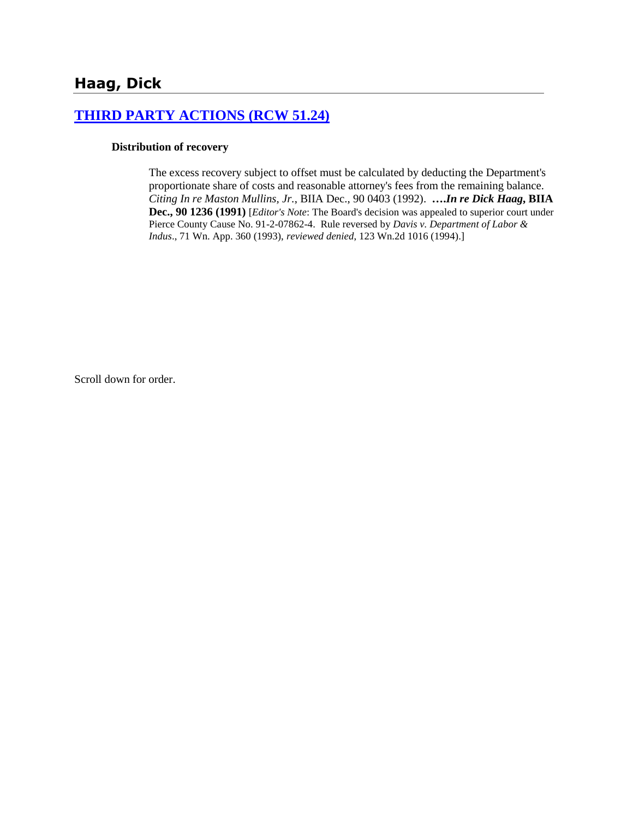# **[THIRD PARTY ACTIONS \(RCW 51.24\)](http://www.biia.wa.gov/SDSubjectIndex.html#THIRD_PARTY_ACTIONS)**

#### **Distribution of recovery**

The excess recovery subject to offset must be calculated by deducting the Department's proportionate share of costs and reasonable attorney's fees from the remaining balance. *Citing In re Maston Mullins, Jr.*, BIIA Dec., 90 0403 (1992). **….***In re Dick Haag***, BIIA Dec., 90 1236 (1991)** [*Editor's Note*: The Board's decision was appealed to superior court under Pierce County Cause No. 91-2-07862-4. Rule reversed by *Davis v. Department of Labor & Indus*., 71 Wn. App. 360 (1993), *reviewed denied*, 123 Wn.2d 1016 (1994).]

Scroll down for order.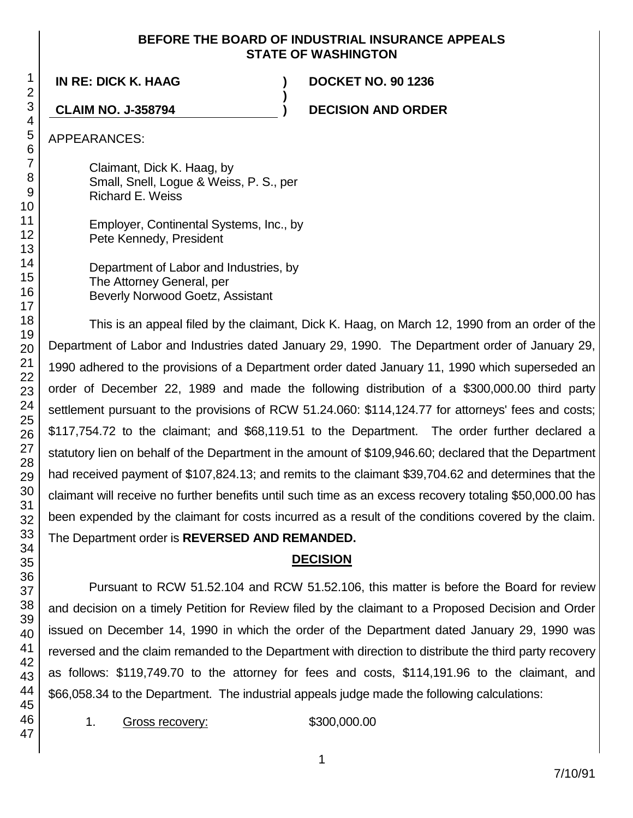#### **BEFORE THE BOARD OF INDUSTRIAL INSURANCE APPEALS STATE OF WASHINGTON**

**)**

**IN RE: DICK K. HAAG ) DOCKET NO. 90 1236**

**CLAIM NO. J-358794 ) DECISION AND ORDER**

APPEARANCES:

Claimant, Dick K. Haag, by Small, Snell, Logue & Weiss, P. S., per Richard E. Weiss

Employer, Continental Systems, Inc., by Pete Kennedy, President

Department of Labor and Industries, by The Attorney General, per Beverly Norwood Goetz, Assistant

This is an appeal filed by the claimant, Dick K. Haag, on March 12, 1990 from an order of the Department of Labor and Industries dated January 29, 1990. The Department order of January 29, 1990 adhered to the provisions of a Department order dated January 11, 1990 which superseded an order of December 22, 1989 and made the following distribution of a \$300,000.00 third party settlement pursuant to the provisions of RCW 51.24.060: \$114,124.77 for attorneys' fees and costs; \$117,754.72 to the claimant; and \$68,119.51 to the Department. The order further declared a statutory lien on behalf of the Department in the amount of \$109,946.60; declared that the Department had received payment of \$107,824.13; and remits to the claimant \$39,704.62 and determines that the claimant will receive no further benefits until such time as an excess recovery totaling \$50,000.00 has been expended by the claimant for costs incurred as a result of the conditions covered by the claim. The Department order is **REVERSED AND REMANDED.**

# **DECISION**

Pursuant to RCW 51.52.104 and RCW 51.52.106, this matter is before the Board for review and decision on a timely Petition for Review filed by the claimant to a Proposed Decision and Order issued on December 14, 1990 in which the order of the Department dated January 29, 1990 was reversed and the claim remanded to the Department with direction to distribute the third party recovery as follows: \$119,749.70 to the attorney for fees and costs, \$114,191.96 to the claimant, and \$66,058.34 to the Department. The industrial appeals judge made the following calculations:

1. Gross recovery: \$300,000.00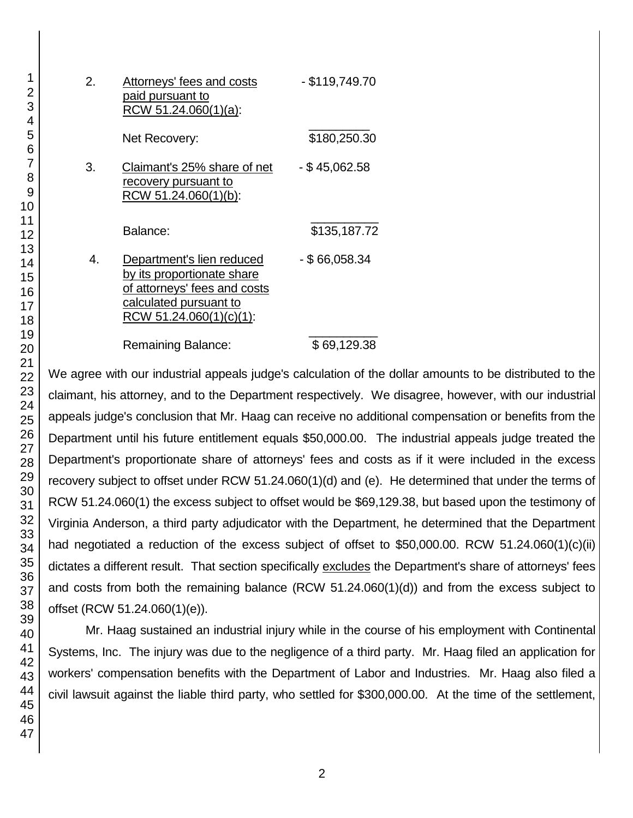| 2. | Attorneys' fees and costs<br>paid pursuant to<br>RCW 51.24.060(1)(a):                                                                        | - \$119,749.70  |
|----|----------------------------------------------------------------------------------------------------------------------------------------------|-----------------|
|    | Net Recovery:                                                                                                                                | \$180,250.30    |
| 3. | Claimant's 25% share of net<br>recovery pursuant to<br>RCW 51.24.060(1)(b):                                                                  | - \$45,062.58   |
|    | Balance:                                                                                                                                     | \$135,187.72    |
| 4. | Department's lien reduced<br>by its proportionate share<br>of attorneys' fees and costs<br>calculated pursuant to<br>RCW 51.24.060(1)(c)(1): | $-$ \$66,058.34 |
|    | Remaining Balance:                                                                                                                           | \$69,129.38     |

We agree with our industrial appeals judge's calculation of the dollar amounts to be distributed to the claimant, his attorney, and to the Department respectively. We disagree, however, with our industrial appeals judge's conclusion that Mr. Haag can receive no additional compensation or benefits from the Department until his future entitlement equals \$50,000.00. The industrial appeals judge treated the Department's proportionate share of attorneys' fees and costs as if it were included in the excess recovery subject to offset under RCW 51.24.060(1)(d) and (e). He determined that under the terms of RCW 51.24.060(1) the excess subject to offset would be \$69,129.38, but based upon the testimony of Virginia Anderson, a third party adjudicator with the Department, he determined that the Department had negotiated a reduction of the excess subject of offset to \$50,000.00. RCW 51.24.060(1)(c)(ii) dictates a different result. That section specifically excludes the Department's share of attorneys' fees and costs from both the remaining balance (RCW 51.24.060(1)(d)) and from the excess subject to offset (RCW 51.24.060(1)(e)).

Mr. Haag sustained an industrial injury while in the course of his employment with Continental Systems, Inc. The injury was due to the negligence of a third party. Mr. Haag filed an application for workers' compensation benefits with the Department of Labor and Industries. Mr. Haag also filed a civil lawsuit against the liable third party, who settled for \$300,000.00. At the time of the settlement,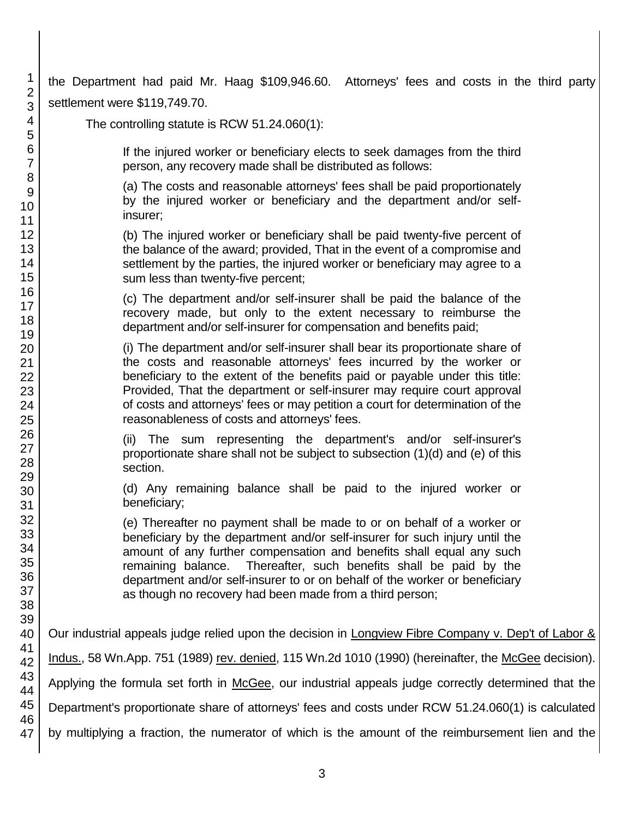the Department had paid Mr. Haag \$109,946.60. Attorneys' fees and costs in the third party settlement were \$119,749.70.

The controlling statute is RCW 51.24.060(1):

If the injured worker or beneficiary elects to seek damages from the third person, any recovery made shall be distributed as follows:

(a) The costs and reasonable attorneys' fees shall be paid proportionately by the injured worker or beneficiary and the department and/or selfinsurer;

(b) The injured worker or beneficiary shall be paid twenty-five percent of the balance of the award; provided, That in the event of a compromise and settlement by the parties, the injured worker or beneficiary may agree to a sum less than twenty-five percent;

(c) The department and/or self-insurer shall be paid the balance of the recovery made, but only to the extent necessary to reimburse the department and/or self-insurer for compensation and benefits paid;

(i) The department and/or self-insurer shall bear its proportionate share of the costs and reasonable attorneys' fees incurred by the worker or beneficiary to the extent of the benefits paid or payable under this title: Provided, That the department or self-insurer may require court approval of costs and attorneys' fees or may petition a court for determination of the reasonableness of costs and attorneys' fees.

(ii) The sum representing the department's and/or self-insurer's proportionate share shall not be subject to subsection (1)(d) and (e) of this section.

(d) Any remaining balance shall be paid to the injured worker or beneficiary;

(e) Thereafter no payment shall be made to or on behalf of a worker or beneficiary by the department and/or self-insurer for such injury until the amount of any further compensation and benefits shall equal any such remaining balance. Thereafter, such benefits shall be paid by the department and/or self-insurer to or on behalf of the worker or beneficiary as though no recovery had been made from a third person;

Our industrial appeals judge relied upon the decision in Longview Fibre Company v. Dep't of Labor & Indus., 58 Wn.App. 751 (1989) rev. denied, 115 Wn.2d 1010 (1990) (hereinafter, the McGee decision). Applying the formula set forth in McGee, our industrial appeals judge correctly determined that the Department's proportionate share of attorneys' fees and costs under RCW 51.24.060(1) is calculated by multiplying a fraction, the numerator of which is the amount of the reimbursement lien and the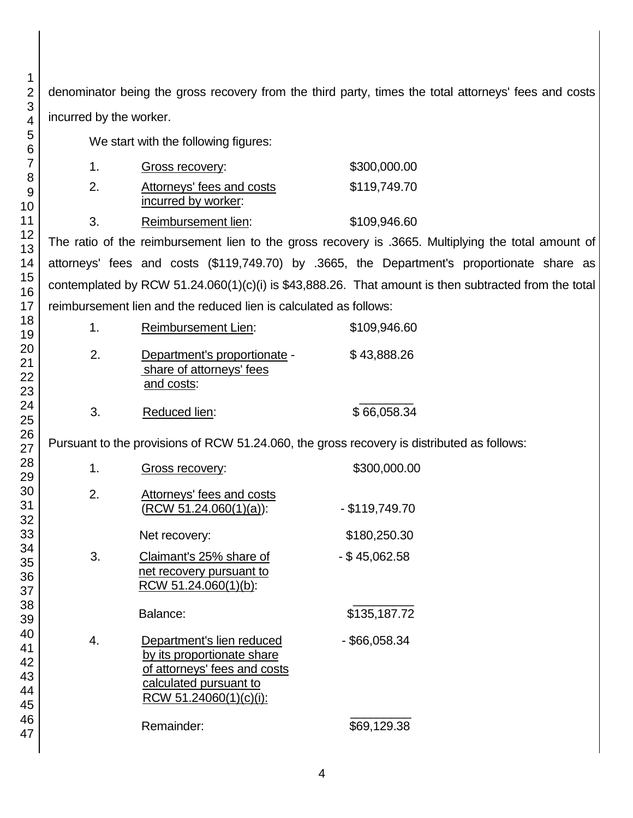denominator being the gross recovery from the third party, times the total attorneys' fees and costs incurred by the worker.

We start with the following figures:

| 1.  | Gross recovery:           | \$300,000.00 |
|-----|---------------------------|--------------|
| -2. | Attorneys' fees and costs | \$119,749.70 |
|     | incurred by worker:       |              |
| -3. | Reimbursement lien:       | \$109,946.60 |

The ratio of the reimbursement lien to the gross recovery is .3665. Multiplying the total amount of attorneys' fees and costs (\$119,749.70) by .3665, the Department's proportionate share as contemplated by RCW 51.24.060(1)(c)(i) is \$43,888.26. That amount is then subtracted from the total reimbursement lien and the reduced lien is calculated as follows:

|    | <b>Reimbursement Lien:</b>                                             | \$109,946.60 |  |  |
|----|------------------------------------------------------------------------|--------------|--|--|
| 2. | Department's proportionate -<br>share of attorneys' fees<br>and costs: | \$43,888.26  |  |  |
| 3  | Reduced lien:                                                          | \$66,058.34  |  |  |

Pursuant to the provisions of RCW 51.24.060, the gross recovery is distributed as follows:

| 1. | Gross recovery:                                                                                                                             | \$300,000.00     |
|----|---------------------------------------------------------------------------------------------------------------------------------------------|------------------|
| 2. | Attorneys' fees and costs<br>$(RCW 51.24.060(1)(a))$ :                                                                                      | $-$ \$119,749.70 |
|    | Net recovery:                                                                                                                               | \$180,250.30     |
| 3. | Claimant's 25% share of<br>net recovery pursuant to<br>RCW 51.24.060(1)(b):                                                                 | $-$ \$45,062.58  |
|    | Balance:                                                                                                                                    | \$135,187.72     |
| 4. | Department's lien reduced<br>by its proportionate share<br>of attorneys' fees and costs<br>calculated pursuant to<br>RCW 51.24060(1)(c)(i): | - \$66,058.34    |
|    | Remainder:                                                                                                                                  | \$69,129.38      |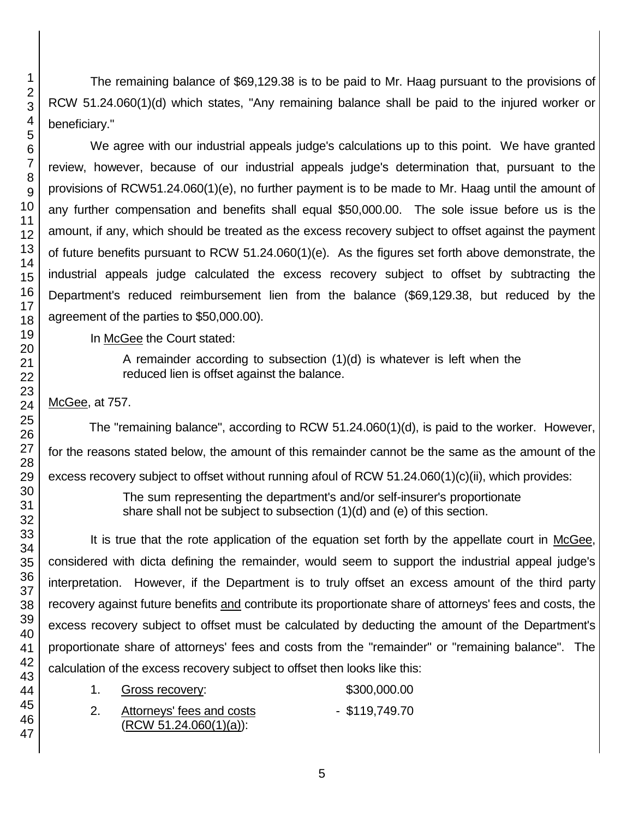The remaining balance of \$69,129.38 is to be paid to Mr. Haag pursuant to the provisions of RCW 51.24.060(1)(d) which states, "Any remaining balance shall be paid to the injured worker or beneficiary."

We agree with our industrial appeals judge's calculations up to this point. We have granted review, however, because of our industrial appeals judge's determination that, pursuant to the provisions of RCW51.24.060(1)(e), no further payment is to be made to Mr. Haag until the amount of any further compensation and benefits shall equal \$50,000.00. The sole issue before us is the amount, if any, which should be treated as the excess recovery subject to offset against the payment of future benefits pursuant to RCW 51.24.060(1)(e). As the figures set forth above demonstrate, the industrial appeals judge calculated the excess recovery subject to offset by subtracting the Department's reduced reimbursement lien from the balance (\$69,129.38, but reduced by the agreement of the parties to \$50,000.00).

In McGee the Court stated:

A remainder according to subsection  $(1)(d)$  is whatever is left when the reduced lien is offset against the balance.

## McGee, at 757.

The "remaining balance", according to RCW 51.24.060(1)(d), is paid to the worker. However, for the reasons stated below, the amount of this remainder cannot be the same as the amount of the excess recovery subject to offset without running afoul of RCW 51.24.060(1)(c)(ii), which provides:

> The sum representing the department's and/or self-insurer's proportionate share shall not be subject to subsection (1)(d) and (e) of this section.

It is true that the rote application of the equation set forth by the appellate court in McGee, considered with dicta defining the remainder, would seem to support the industrial appeal judge's interpretation. However, if the Department is to truly offset an excess amount of the third party recovery against future benefits and contribute its proportionate share of attorneys' fees and costs, the excess recovery subject to offset must be calculated by deducting the amount of the Department's proportionate share of attorneys' fees and costs from the "remainder" or "remaining balance". The calculation of the excess recovery subject to offset then looks like this:

| Gross recovery: |  |  | \$300,000.00 |
|-----------------|--|--|--------------|
|                 |  |  |              |

2. Attorneys' fees and costs - \$119,749.70 (RCW 51.24.060(1)(a)):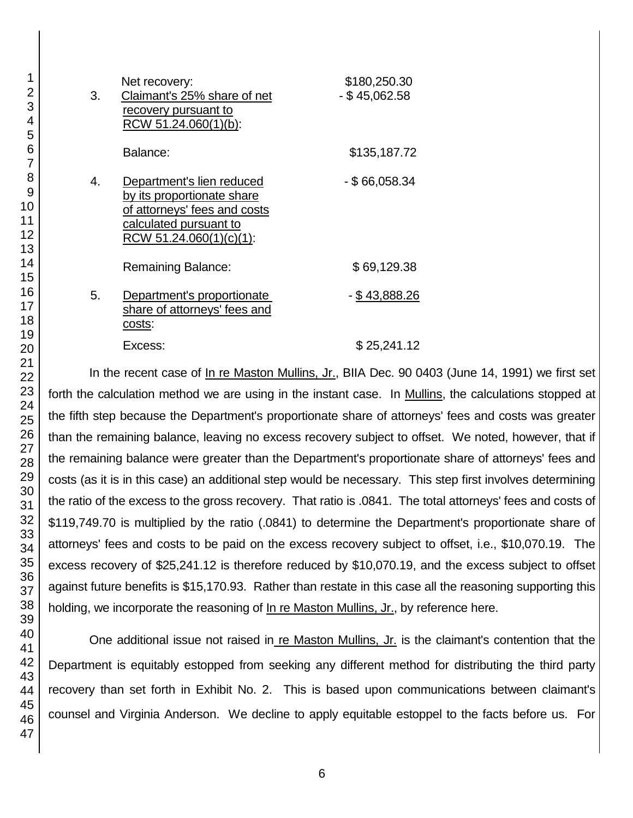| 3. | Net recovery:<br>Claimant's 25% share of net<br>recovery pursuant to<br>RCW 51.24.060(1)(b):                                                 | \$180,250.30<br>$-$ \$45,062.58 |
|----|----------------------------------------------------------------------------------------------------------------------------------------------|---------------------------------|
|    | Balance:                                                                                                                                     | \$135,187.72                    |
| 4. | Department's lien reduced<br>by its proportionate share<br>of attorneys' fees and costs<br>calculated pursuant to<br>RCW 51.24.060(1)(c)(1): | - \$66,058.34                   |
|    | Remaining Balance:                                                                                                                           | \$69,129.38                     |
| 5. | Department's proportionate<br>share of attorneys' fees and<br>costs:                                                                         | - \$43,888.26                   |
|    | Excess:                                                                                                                                      | \$25,241.12                     |

In the recent case of In re Maston Mullins, Jr., BIIA Dec. 90 0403 (June 14, 1991) we first set forth the calculation method we are using in the instant case. In Mullins, the calculations stopped at the fifth step because the Department's proportionate share of attorneys' fees and costs was greater than the remaining balance, leaving no excess recovery subject to offset. We noted, however, that if the remaining balance were greater than the Department's proportionate share of attorneys' fees and costs (as it is in this case) an additional step would be necessary. This step first involves determining the ratio of the excess to the gross recovery. That ratio is .0841. The total attorneys' fees and costs of \$119,749.70 is multiplied by the ratio (.0841) to determine the Department's proportionate share of attorneys' fees and costs to be paid on the excess recovery subject to offset, i.e., \$10,070.19. The excess recovery of \$25,241.12 is therefore reduced by \$10,070.19, and the excess subject to offset against future benefits is \$15,170.93. Rather than restate in this case all the reasoning supporting this holding, we incorporate the reasoning of In re Maston Mullins, Jr., by reference here.

One additional issue not raised in re Maston Mullins, Jr. is the claimant's contention that the Department is equitably estopped from seeking any different method for distributing the third party recovery than set forth in Exhibit No. 2. This is based upon communications between claimant's counsel and Virginia Anderson. We decline to apply equitable estoppel to the facts before us. For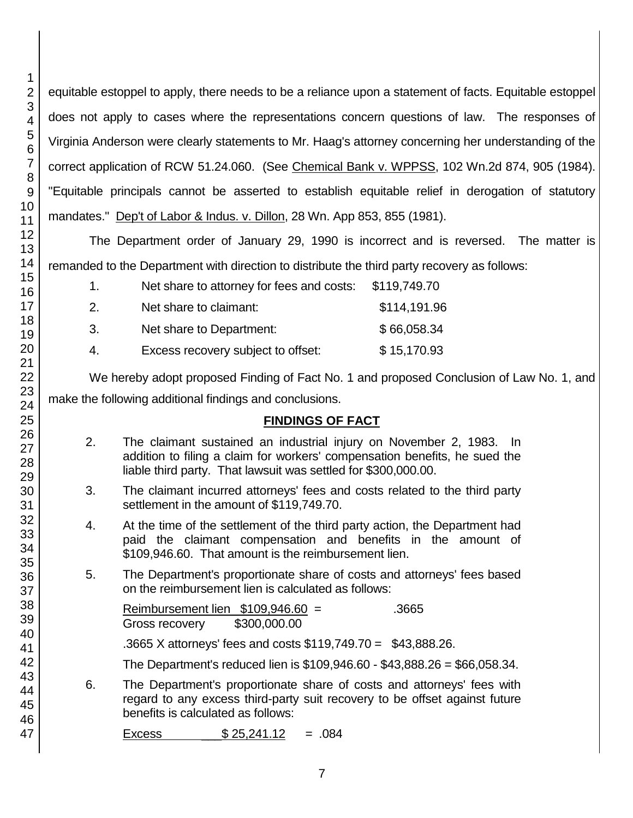equitable estoppel to apply, there needs to be a reliance upon a statement of facts. Equitable estoppel does not apply to cases where the representations concern questions of law. The responses of Virginia Anderson were clearly statements to Mr. Haag's attorney concerning her understanding of the correct application of RCW 51.24.060. (See Chemical Bank v. WPPSS, 102 Wn.2d 874, 905 (1984). "Equitable principals cannot be asserted to establish equitable relief in derogation of statutory mandates." Dep't of Labor & Indus. v. Dillon, 28 Wn. App 853, 855 (1981).

The Department order of January 29, 1990 is incorrect and is reversed. The matter is remanded to the Department with direction to distribute the third party recovery as follows:

| 1.  | Net share to attorney for fees and costs: | \$119,749.70 |
|-----|-------------------------------------------|--------------|
| 2.  | Net share to claimant:                    | \$114,191.96 |
| -3. | Net share to Department:                  | \$66,058.34  |
| 4.  | Excess recovery subject to offset:        | \$15,170.93  |

We hereby adopt proposed Finding of Fact No. 1 and proposed Conclusion of Law No. 1, and make the following additional findings and conclusions.

# **FINDINGS OF FACT**

- 2. The claimant sustained an industrial injury on November 2, 1983. In addition to filing a claim for workers' compensation benefits, he sued the liable third party. That lawsuit was settled for \$300,000.00.
- 3. The claimant incurred attorneys' fees and costs related to the third party settlement in the amount of \$119,749.70.
- 4. At the time of the settlement of the third party action, the Department had paid the claimant compensation and benefits in the amount of \$109,946.60. That amount is the reimbursement lien.
- 5. The Department's proportionate share of costs and attorneys' fees based on the reimbursement lien is calculated as follows:

Reimbursement lien  $$109.946.60 =$  .3665 Gross recovery \$300,000.00

.3665 X attorneys' fees and costs \$119,749.70 = \$43,888.26.

The Department's reduced lien is \$109,946.60 - \$43,888.26 = \$66,058.34.

6. The Department's proportionate share of costs and attorneys' fees with regard to any excess third-party suit recovery to be offset against future benefits is calculated as follows:

```
Excess $25.241.12 = .084
```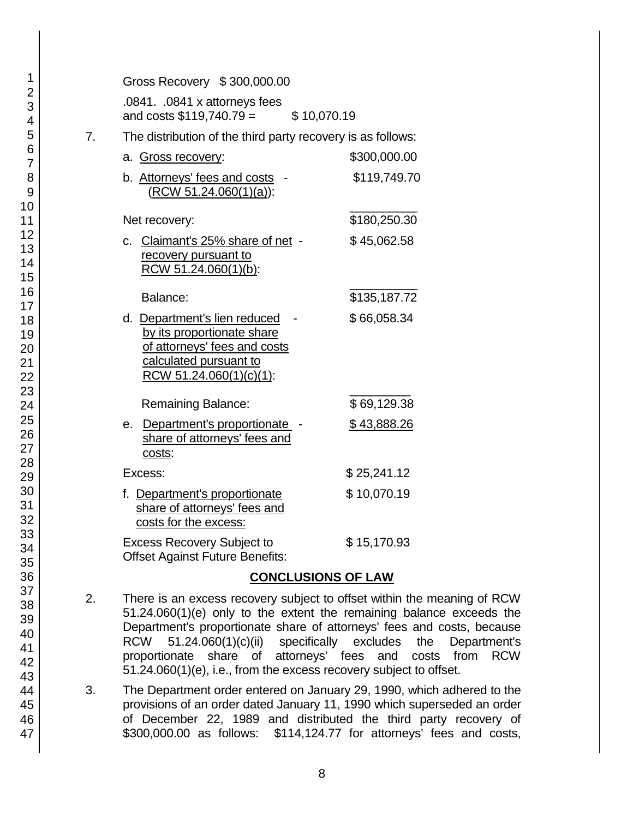|    | Gross Recovery \$300,000.00                                                                                                                     |              |
|----|-------------------------------------------------------------------------------------------------------------------------------------------------|--------------|
|    | .0841. .0841 x attorneys fees<br>and costs $$119,740.79 =$<br>\$10,070.19                                                                       |              |
| 7. | The distribution of the third party recovery is as follows:                                                                                     |              |
|    | a. Gross recovery:                                                                                                                              | \$300,000.00 |
|    | b. Attorneys' fees and costs<br>$(RCW 51.24.060(1)(a))$ :                                                                                       | \$119,749.70 |
|    | Net recovery:                                                                                                                                   | \$180,250.30 |
|    | c. Claimant's 25% share of net -<br>recovery pursuant to<br>RCW 51.24.060(1)(b):                                                                | \$45,062.58  |
|    | Balance:                                                                                                                                        | \$135,187.72 |
|    | d. Department's lien reduced<br>by its proportionate share<br>of attorneys' fees and costs<br>calculated pursuant to<br>RCW 51.24.060(1)(c)(1): | \$66,058.34  |
|    | <b>Remaining Balance:</b>                                                                                                                       | \$69,129.38  |
|    | e. Department's proportionate -<br>share of attorneys' fees and<br>costs:                                                                       | \$43,888.26  |
|    | Excess:                                                                                                                                         | \$25,241.12  |
|    | f. Department's proportionate<br>share of attorneys' fees and<br>costs for the excess:                                                          | \$10,070.19  |
|    | <b>Excess Recovery Subject to</b><br><b>Offset Against Future Benefits:</b>                                                                     | \$15,170.93  |
|    | CONCLUSIONS OF LAW                                                                                                                              |              |

### **CONCLUSIONS OF LAW** 2. There is an excess recovery subject to offset within the meaning of RCW 51.24.060(1)(e) only to the extent the remaining balance exceeds the Department's proportionate share of attorneys' fees and costs, because RCW 51.24.060(1)(c)(ii) specifically excludes the Department's

- proportionate share of attorneys' fees and costs from RCW 51.24.060(1)(e), i.e., from the excess recovery subject to offset. 3. The Department order entered on January 29, 1990, which adhered to the provisions of an order dated January 11, 1990 which superseded an order of December 22, 1989 and distributed the third party recovery of
- 1 2 3 4 5 6 7 8 9 10 11 12 13 14 15 16 17 18 19 20 21 22 23 24 25 26 27 28 29 30 31 32 33 34 35 36 37 38 39 40 41 42 43 44 45 46 47

\$300,000.00 as follows: \$114,124.77 for attorneys' fees and costs,